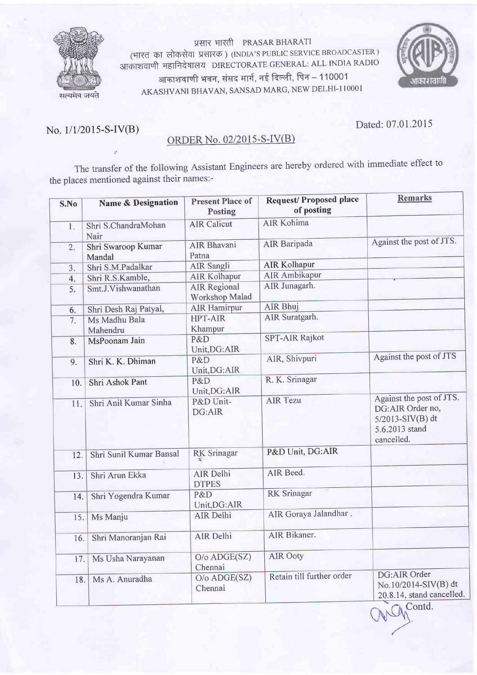

प्रसार भारती PRASAR BHARATI (भारत का लोकसेवा प्रसारक) (INDIA'S PUBLIC SERVICE BROADCASTER) आकाशवाणी महानिदेषालय DIRECTORATE GENERAL: ALL INDIA RADIO आकाशवाणी भवन, संसद मार्ग, नई दिल्ली, पिन – 110001 AKASHVANI BHAVAN, SANSAD MARG, NEW DELHI-110001



i!

## ORDER No. 02/2015-S-IV(B)

No. l/1/2015-S-IV(B) Dated: 07.01 .2015

The transfer of the following Assistant Engineers are hereby ordered with immediate effect to the places mentioned against their names:-

| S.No | <b>Name &amp; Designation</b> | <b>Present Place of</b><br><b>Posting</b> | <b>Request/Proposed place</b><br>of posting | <b>Remarks</b>                                                                                   |
|------|-------------------------------|-------------------------------------------|---------------------------------------------|--------------------------------------------------------------------------------------------------|
| 1.   | Shri S.ChandraMohan<br>Nair   | <b>AIR Calicut</b>                        | <b>AIR Kohima</b>                           |                                                                                                  |
| 2.   | Shri Swaroop Kumar<br>Mandal  | <b>AIR Bhavani</b><br>Patna               | <b>AIR</b> Baripada                         | Against the post of JTS.                                                                         |
| 3.   | Shri S.M.Padalkar             | <b>AIR Sangli</b>                         | <b>AIR Kolhapur</b>                         |                                                                                                  |
| 4.   | Shri R.S.Kamble,              | <b>AIR Kolhapur</b>                       | <b>AIR Ambikapur</b>                        |                                                                                                  |
| 5.   | Smt.J.Vishwanathan            | <b>AIR Regional</b><br>Workshop Malad     | AIR Junagarh.                               |                                                                                                  |
| 6.   | Shri Desh Raj Patyal,         | <b>AIR Hamirpur</b>                       | <b>AIR Bhuj</b>                             |                                                                                                  |
| 7.   | Ms Madhu Bala<br>Mahendru     | <b>HPT-AIR</b><br>Khampur                 | AIR Suratgarh.                              |                                                                                                  |
| 8.   | MsPoonam Jain                 | P&D<br>Unit, DG: AIR                      | <b>SPT-AIR Rajkot</b>                       |                                                                                                  |
| 9.   | Shri K. K. Dhiman             | P&D<br>Unit, DG: AIR                      | AIR, Shivpuri                               | Against the post of JTS                                                                          |
| 10.  | Shri Ashok Pant               | P&D<br>Unit, DG: AIR                      | R. K. Srinagar                              |                                                                                                  |
| 11.  | Shri Anil Kumar Sinha         | P&D Unit-<br>DG:AIR                       | <b>AIR Tezu</b>                             | Against the post of JTS.<br>DG:AIR Order no,<br>5/2013-SIV(B) dt<br>5.6.2013 stand<br>cancelled. |
| 12.  | Shri Sunil Kumar Bansal       | <b>RK</b> Srinagar                        | P&D Unit, DG:AIR                            |                                                                                                  |
| 13.  | Shri Arun Ekka                | AIR Delhi<br><b>DTPES</b>                 | AIR Beed.                                   |                                                                                                  |
| 14.  | Shri Yogendra Kumar           | P&D<br>Unit, DG: AIR                      | <b>RK</b> Srinagar                          |                                                                                                  |
| 15.  | Ms Manju                      | <b>AIR Delhi</b>                          | AIR Goraya Jalandhar.                       |                                                                                                  |
| 16.  | Shri Manoranjan Rai           | AIR Delhi                                 | AIR Bikaner.                                |                                                                                                  |
| 17.  | Ms Usha Narayanan             | O/o ADGE(SZ)<br>Chennai                   | <b>AIR Ooty</b>                             |                                                                                                  |
| 18.  | Ms A. Anuradha                | O/o ADGE(SZ)<br>Chennai                   | Retain till further order                   | DG:AIR Order<br>No.10/2014-SIV(B) dt<br>20.8.14, stand cancelled.<br>$\sim$ 4.1                  |

Contd.